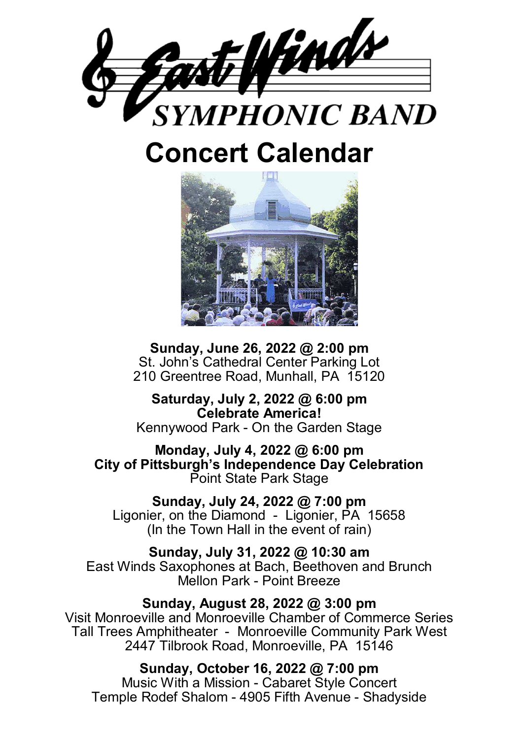

# **Concert Calendar**



**Sunday, June 26, 2022 @ 2:00 pm**  St. John's Cathedral Center Parking Lot 210 Greentree Road, Munhall, PA 15120

**Saturday, July 2, 2022 @ 6:00 pm Celebrate America!**  Kennywood Park - On the Garden Stage

**Monday, July 4, 2022 @ 6:00 pm City of Pittsburgh's Independence Day Celebration**  Point State Park Stage

**Sunday, July 24, 2022 @ 7:00 pm**  Ligonier, on the Diamond - Ligonier, PA 15658 (In the Town Hall in the event of rain)

**Sunday, July 31, 2022 @ 10:30 am**  East Winds Saxophones at Bach, Beethoven and Brunch Mellon Park - Point Breeze

**Sunday, August 28, 2022 @ 3:00 pm**  Visit Monroeville and Monroeville Chamber of Commerce Series Tall Trees Amphitheater - Monroeville Community Park West 2447 Tilbrook Road, Monroeville, PA 15146

**Sunday, October 16, 2022 @ 7:00 pm**  Music With a Mission - Cabaret Style Concert Temple Rodef Shalom - 4905 Fifth Avenue - Shadyside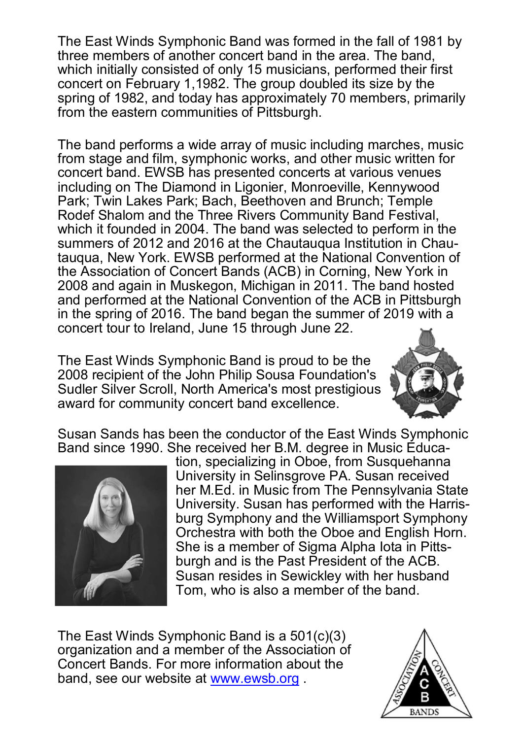The East Winds Symphonic Band was formed in the fall of 1981 by three members of another concert band in the area. The band, which initially consisted of only 15 musicians, performed their first concert on February 1,1982. The group doubled its size by the spring of 1982, and today has approximately 70 members, primarily from the eastern communities of Pittsburgh.

The band performs a wide array of music including marches, music from stage and film, symphonic works, and other music written for concert band. EWSB has presented concerts at various venues including on The Diamond in Ligonier, Monroeville, Kennywood Park; Twin Lakes Park; Bach, Beethoven and Brunch; Temple Rodef Shalom and the Three Rivers Community Band Festival, which it founded in 2004. The band was selected to perform in the summers of 2012 and 2016 at the Chautauqua Institution in Chautauqua, New York. EWSB performed at the National Convention of the Association of Concert Bands (ACB) in Corning, New York in 2008 and again in Muskegon, Michigan in 2011. The band hosted and performed at the National Convention of the ACB in Pittsburgh in the spring of 2016. The band began the summer of 2019 with a concert tour to Ireland, June 15 through June 22.

The East Winds Symphonic Band is proud to be the 2008 recipient of the John Philip Sousa Foundation's Sudler Silver Scroll, North America's most prestigious award for community concert band excellence.



Susan Sands has been the conductor of the East Winds Symphonic Band since 1990. She received her B.M. degree in Music Educa-



tion, specializing in Oboe, from Susquehanna University in Selinsgrove PA. Susan received her M.Ed. in Music from The Pennsylvania State University. Susan has performed with the Harrisburg Symphony and the Williamsport Symphony Orchestra with both the Oboe and English Horn. She is a member of Sigma Alpha Iota in Pittsburgh and is the Past President of the ACB. Susan resides in Sewickley with her husband Tom, who is also a member of the band.

The East Winds Symphonic Band is a 501(c)(3) organization and a member of the Association of Concert Bands. For more information about the band, see our website at www.ewsb.org .

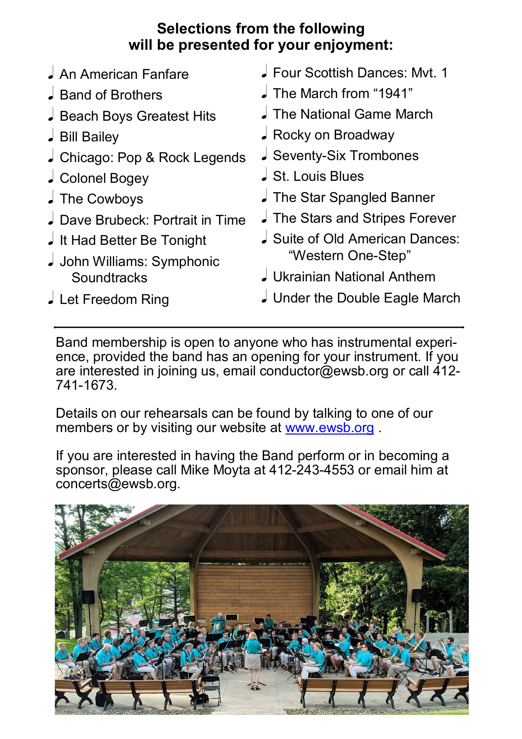### **Selections from the following will be presented for your enjoyment:**

| An American Fanfare            | Four Scottish Dances: Myt. 1       |
|--------------------------------|------------------------------------|
| J Band of Brothers             | $\downarrow$ The March from "1941" |
| Beach Boys Greatest Hits       | <b>J</b> The National Game March   |
| J Bill Bailey                  | Rocky on Broadway                  |
| Chicago: Pop & Rock Legends    | Seventy-Six Trombones              |
| Colonel Bogey                  | St. Louis Blues                    |
| The Cowboys                    | The Star Spangled Banner           |
| Dave Brubeck: Portrait in Time | The Stars and Stripes Forever      |
| It Had Better Be Tonight       | J Suite of Old American Dances:    |
| John Williams: Symphonic       | "Western One-Step"                 |
| Soundtracks                    | J Ukrainian National Anthem        |
| Let Freedom Ring               | J Under the Double Eagle March     |

Band membership is open to anyone who has instrumental experience, provided the band has an opening for your instrument. If you are interested in joining us, email conductor@ewsb.org or call 412- 741-1673.

Details on our rehearsals can be found by talking to one of our members or by visiting our website at www.ewsb.org.

If you are interested in having the Band perform or in becoming a sponsor, please call Mike Moyta at 412-243-4553 or email him at concerts@ewsb.org.